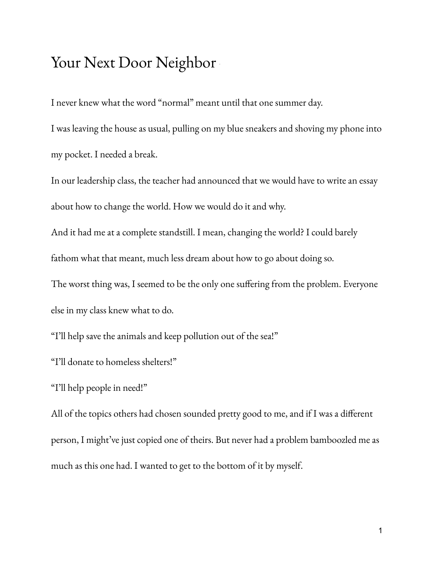## Your Next Door Neighbor

I never knew what the word "normal" meant until that one summer day.

I was leaving the house as usual, pulling on my blue sneakers and shoving my phone into my pocket. I needed a break.

In our leadership class, the teacher had announced that we would have to write an essay about how to change the world. How we would do it and why.

And it had me at a complete standstill. I mean, changing the world? I could barely fathom what that meant, much less dream about how to go about doing so.

The worst thing was, I seemed to be the only one suffering from the problem. Everyone else in my class knew what to do.

"I'll help save the animals and keep pollution out of the sea!"

"I'll donate to homeless shelters!"

"I'll help people in need!"

All of the topics others had chosen sounded pretty good to me, and if I was a different person, I might've just copied one of theirs. But never had a problem bamboozled me as much as this one had. I wanted to get to the bottom of it by myself.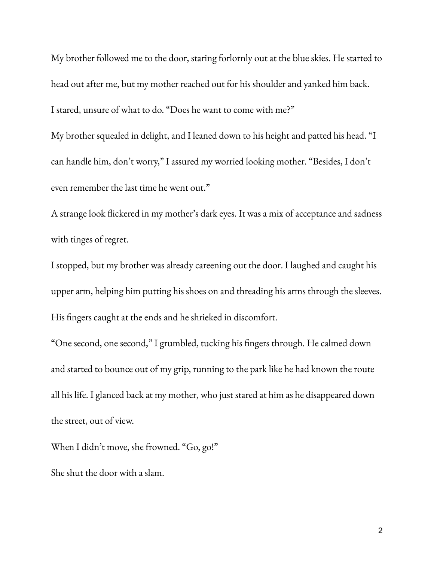My brother followed me to the door, staring forlornly out at the blue skies. He started to head out after me, but my mother reached out for his shoulder and yanked him back. I stared, unsure of what to do. "Does he want to come with me?"

My brother squealed in delight, and I leaned down to his height and patted his head. "I can handle him, don't worry," I assured my worried looking mother. "Besides, I don't even remember the last time he went out."

A strange look flickered in my mother's dark eyes. It was a mix of acceptance and sadness with tinges of regret.

I stopped, but my brother was already careening out the door. I laughed and caught his upper arm, helping him putting his shoes on and threading his arms through the sleeves. His fingers caught at the ends and he shrieked in discomfort.

"One second, one second," I grumbled, tucking his fingers through. He calmed down and started to bounce out of my grip, running to the park like he had known the route all his life. I glanced back at my mother, who just stared at him as he disappeared down the street, out of view.

When I didn't move, she frowned. "Go, go!"

She shut the door with a slam.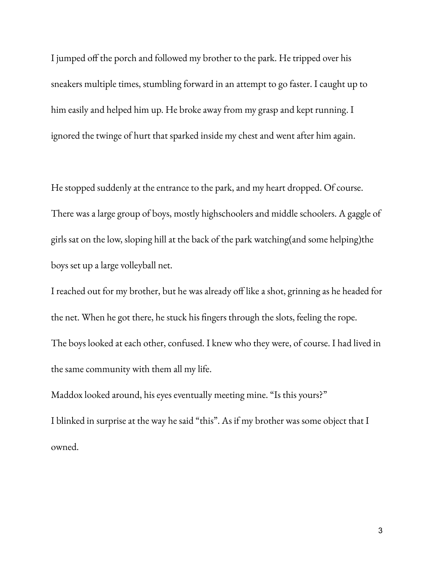I jumped off the porch and followed my brother to the park. He tripped over his sneakers multiple times, stumbling forward in an attempt to go faster. I caught up to him easily and helped him up. He broke away from my grasp and kept running. I ignored the twinge of hurt that sparked inside my chest and went after him again.

He stopped suddenly at the entrance to the park, and my heart dropped. Of course. There was a large group of boys, mostly highschoolers and middle schoolers. A gaggle of girls sat on the low, sloping hill at the back of the park watching(and some helping)the boys set up a large volleyball net.

I reached out for my brother, but he was already off like a shot, grinning as he headed for the net. When he got there, he stuck his fingers through the slots, feeling the rope. The boys looked at each other, confused. I knew who they were, of course. I had lived in the same community with them all my life.

Maddox looked around, his eyes eventually meeting mine. "Is this yours?" I blinked in surprise at the way he said "this". As if my brother was some object that I owned.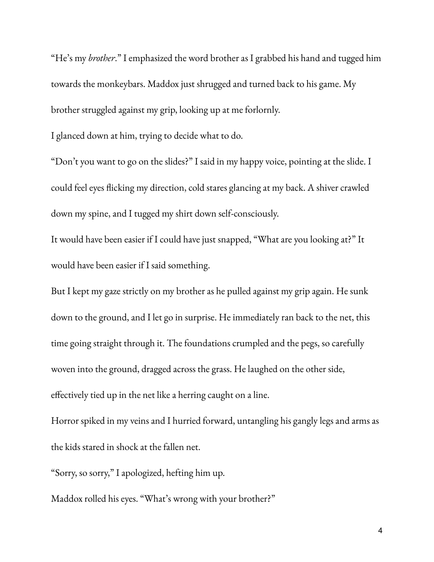"He's my *brother*." I emphasized the word brother as I grabbed his hand and tugged him towards the monkeybars. Maddox just shrugged and turned back to his game. My brother struggled against my grip, looking up at me forlornly.

I glanced down at him, trying to decide what to do.

"Don't you want to go on the slides?" I said in my happy voice, pointing at the slide. I could feel eyes flicking my direction, cold stares glancing at my back. A shiver crawled down my spine, and I tugged my shirt down self-consciously.

It would have been easier if I could have just snapped, "What are you looking at?" It would have been easier if I said something.

But I kept my gaze strictly on my brother as he pulled against my grip again. He sunk down to the ground, and I let go in surprise. He immediately ran back to the net, this time going straight through it. The foundations crumpled and the pegs, so carefully woven into the ground, dragged across the grass. He laughed on the other side, effectively tied up in the net like a herring caught on a line.

Horror spiked in my veins and I hurried forward, untangling his gangly legs and arms as the kids stared in shock at the fallen net.

"Sorry, so sorry," I apologized, hefting him up.

Maddox rolled his eyes. "What's wrong with your brother?"

4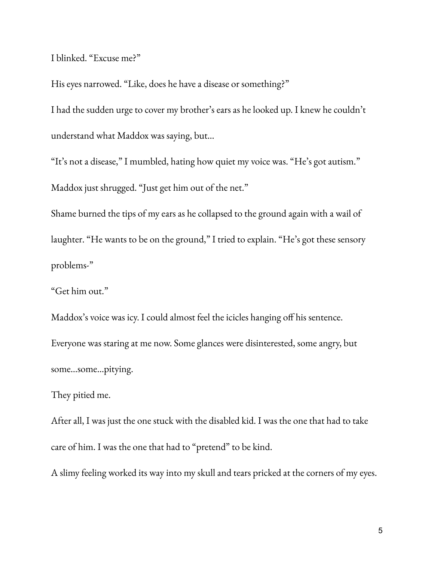I blinked. "Excuse me?"

His eyes narrowed. "Like, does he have a disease or something?" I had the sudden urge to cover my brother's ears as he looked up. I knew he couldn't understand what Maddox was saying, but…

"It's not a disease," I mumbled, hating how quiet my voice was. "He's got autism." Maddox just shrugged. "Just get him out of the net."

Shame burned the tips of my ears as he collapsed to the ground again with a wail of laughter. "He wants to be on the ground," I tried to explain. "He's got these sensory problems-"

"Get him out."

Maddox's voice was icy. I could almost feel the icicles hanging off his sentence. Everyone was staring at me now. Some glances were disinterested, some angry, but some…some…pitying.

They pitied me.

After all, I was just the one stuck with the disabled kid. I was the one that had to take care of him. I was the one that had to "pretend" to be kind.

A slimy feeling worked its way into my skull and tears pricked at the corners of my eyes.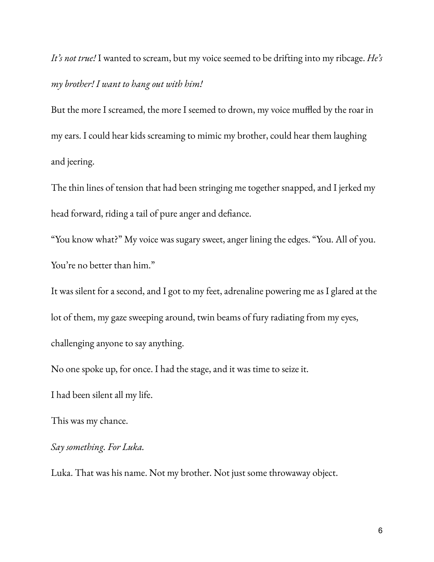*It's not true!* I wanted to scream, but my voice seemed to be drifting into my ribcage. *He's my brother! I want to hang out with him!*

But the more I screamed, the more I seemed to drown, my voice muffled by the roar in my ears. I could hear kids screaming to mimic my brother, could hear them laughing and jeering.

The thin lines of tension that had been stringing me together snapped, and I jerked my head forward, riding a tail of pure anger and defiance.

"You know what?" My voice was sugary sweet, anger lining the edges. "You. All of you. You're no better than him."

It was silent for a second, and I got to my feet, adrenaline powering me as I glared at the lot of them, my gaze sweeping around, twin beams of fury radiating from my eyes, challenging anyone to say anything.

No one spoke up, for once. I had the stage, and it was time to seize it.

I had been silent all my life.

This was my chance.

*Say something. For Luka.*

Luka. That was his name. Not my brother. Not just some throwaway object.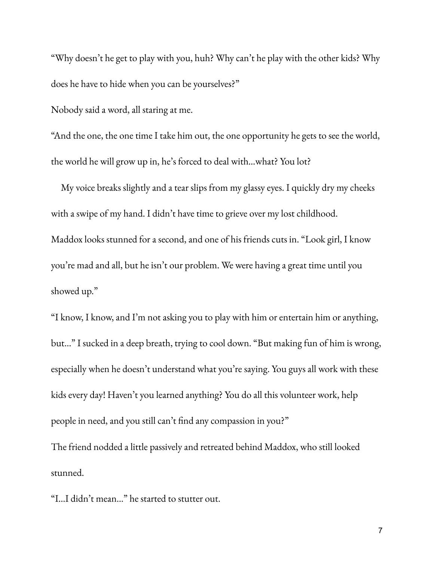"Why doesn't he get to play with you, huh? Why can't he play with the other kids? Why does he have to hide when you can be yourselves?"

Nobody said a word, all staring at me.

"And the one, the one time I take him out, the one opportunity he gets to see the world, the world he will grow up in, he's forced to deal with…what? You lot?

My voice breaks slightly and a tear slips from my glassy eyes. I quickly dry my cheeks with a swipe of my hand. I didn't have time to grieve over my lost childhood. Maddox looks stunned for a second, and one of his friends cuts in. "Look girl, I know you're mad and all, but he isn't our problem. We were having a great time until you showed up."

"I know, I know, and I'm not asking you to play with him or entertain him or anything, but…" I sucked in a deep breath, trying to cool down. "But making fun of him is wrong, especially when he doesn't understand what you're saying. You guys all work with these kids every day! Haven't you learned anything? You do all this volunteer work, help people in need, and you still can't find any compassion in you?"

The friend nodded a little passively and retreated behind Maddox, who still looked stunned.

"I…I didn't mean…" he started to stutter out.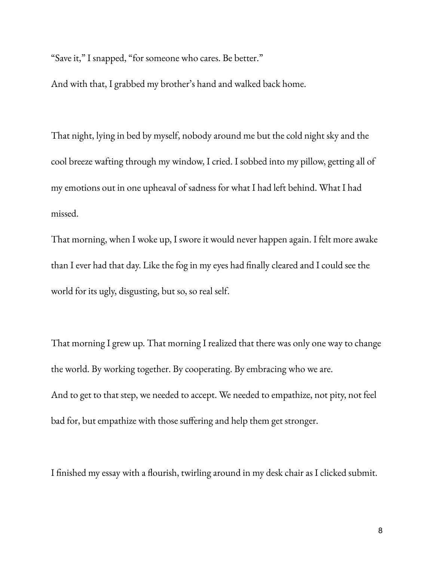"Save it," I snapped, "for someone who cares. Be better."

And with that, I grabbed my brother's hand and walked back home.

That night, lying in bed by myself, nobody around me but the cold night sky and the cool breeze wafting through my window, I cried. I sobbed into my pillow, getting all of my emotions out in one upheaval of sadness for what I had left behind. What I had missed.

That morning, when I woke up, I swore it would never happen again. I felt more awake than I ever had that day. Like the fog in my eyes had finally cleared and I could see the world for its ugly, disgusting, but so, so real self.

That morning I grew up. That morning I realized that there was only one way to change the world. By working together. By cooperating. By embracing who we are. And to get to that step, we needed to accept. We needed to empathize, not pity, not feel bad for, but empathize with those suffering and help them get stronger.

I finished my essay with a flourish, twirling around in my desk chair as I clicked submit.